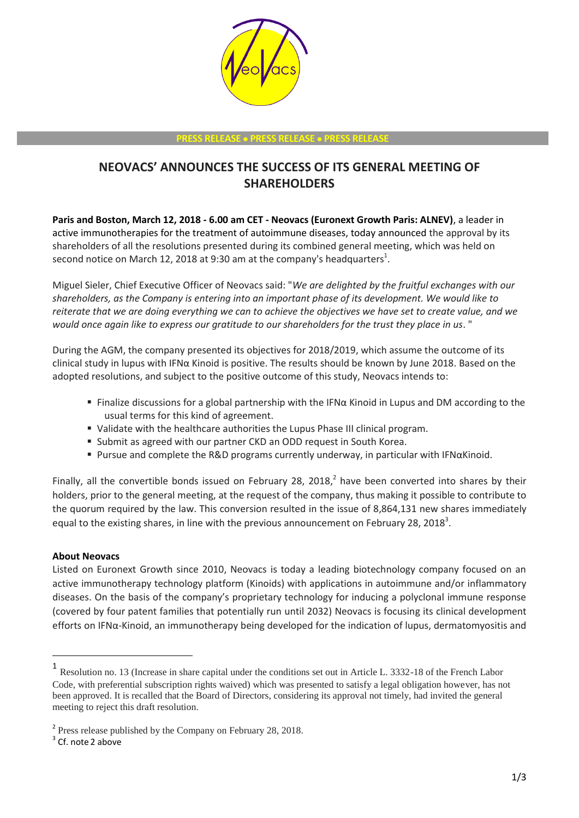

## **PRESS RELEASE PRESS RELEASE PRESS RELEASE**

## **NEOVACS' ANNOUNCES THE SUCCESS OF ITS GENERAL MEETING OF SHAREHOLDERS**

**Paris and Boston, March 12, 2018 - 6.00 am CET - Neovacs (Euronext Growth Paris: ALNEV)**, a leader in active immunotherapies for the treatment of autoimmune diseases, today announced the approval by its shareholders of all the resolutions presented during its combined general meeting, which was held on second notice on March 12, 2018 at 9:30 am at the company's headquarters<sup>1</sup>.

Miguel Sieler, Chief Executive Officer of Neovacs said: "*We are delighted by the fruitful exchanges with our shareholders, as the Company is entering into an important phase of its development. We would like to reiterate that we are doing everything we can to achieve the objectives we have set to create value, and we would once again like to express our gratitude to our shareholders for the trust they place in us*. "

During the AGM, the company presented its objectives for 2018/2019, which assume the outcome of its clinical study in lupus with IFNα Kinoid is positive. The results should be known by June 2018. Based on the adopted resolutions, and subject to the positive outcome of this study, Neovacs intends to:

- Finalize discussions for a global partnership with the IFN $\alpha$  Kinoid in Lupus and DM according to the usual terms for this kind of agreement.
- Validate with the healthcare authorities the Lupus Phase III clinical program.
- Submit as agreed with our partner CKD an ODD request in South Korea.
- Pursue and complete the R&D programs currently underway, in particular with IFNαKinoid.

Finally, all the convertible bonds issued on February 28, 2018, $^2$  have been converted into shares by their holders, prior to the general meeting, at the request of the company, thus making it possible to contribute to the quorum required by the law. This conversion resulted in the issue of 8,864,131 new shares immediately equal to the existing shares, in line with the previous announcement on February 28, 2018<sup>3</sup>.

## **About Neovacs**

Listed on Euronext Growth since 2010, Neovacs is today a leading biotechnology company focused on an active immunotherapy technology platform (Kinoids) with applications in autoimmune and/or inflammatory diseases. On the basis of the company's proprietary technology for inducing a polyclonal immune response (covered by four patent families that potentially run until 2032) Neovacs is focusing its clinical development efforts on IFNα-Kinoid, an immunotherapy being developed for the indication of lupus, dermatomyositis and

-

<sup>1</sup> Resolution no. 13 (Increase in share capital under the conditions set out in Article L. 3332-18 of the French Labor Code, with preferential subscription rights waived) which was presented to satisfy a legal obligation however, has not been approved. It is recalled that the Board of Directors, considering its approval not timely, had invited the general meeting to reject this draft resolution.

<sup>&</sup>lt;sup>2</sup> Press release published by the Company on February 28, 2018.

 $3$  Cf. note 2 above